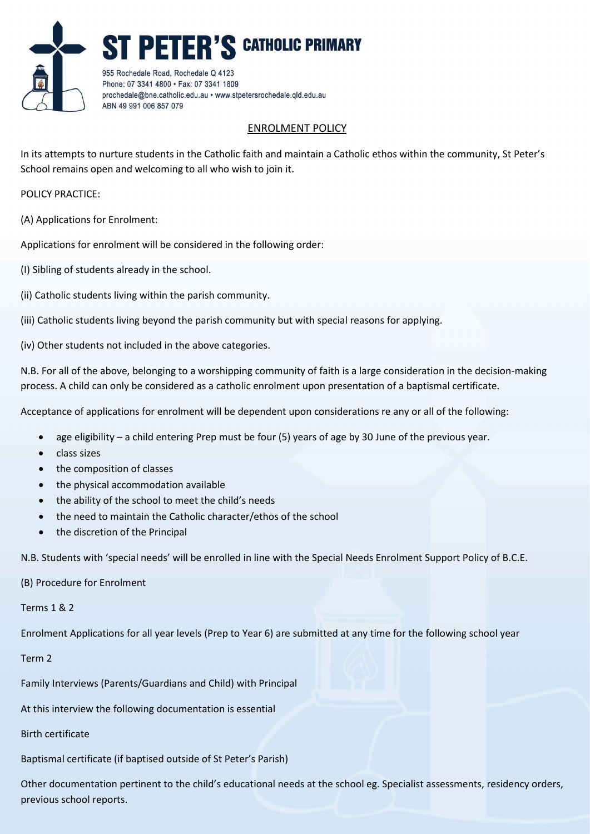

## ENROLMENT POLICY

In its attempts to nurture students in the Catholic faith and maintain a Catholic ethos within the community, St Peter's School remains open and welcoming to all who wish to join it.

POLICY PRACTICE:

(A) Applications for Enrolment:

Applications for enrolment will be considered in the following order:

(I) Sibling of students already in the school.

(ii) Catholic students living within the parish community.

(iii) Catholic students living beyond the parish community but with special reasons for applying.

(iv) Other students not included in the above categories.

N.B. For all of the above, belonging to a worshipping community of faith is a large consideration in the decision-making process. A child can only be considered as a catholic enrolment upon presentation of a baptismal certificate.

Acceptance of applications for enrolment will be dependent upon considerations re any or all of the following:

- age eligibility a child entering Prep must be four (5) years of age by 30 June of the previous year.
- class sizes
- the composition of classes
- the physical accommodation available
- the ability of the school to meet the child's needs
- the need to maintain the Catholic character/ethos of the school
- the discretion of the Principal

N.B. Students with 'special needs' will be enrolled in line with the Special Needs Enrolment Support Policy of B.C.E.

## (B) Procedure for Enrolment

Terms 1 & 2

Enrolment Applications for all year levels (Prep to Year 6) are submitted at any time for the following school year

Term 2

Family Interviews (Parents/Guardians and Child) with Principal

At this interview the following documentation is essential

## Birth certificate

Baptismal certificate (if baptised outside of St Peter's Parish)

Other documentation pertinent to the child's educational needs at the school eg. Specialist assessments, residency orders, previous school reports.